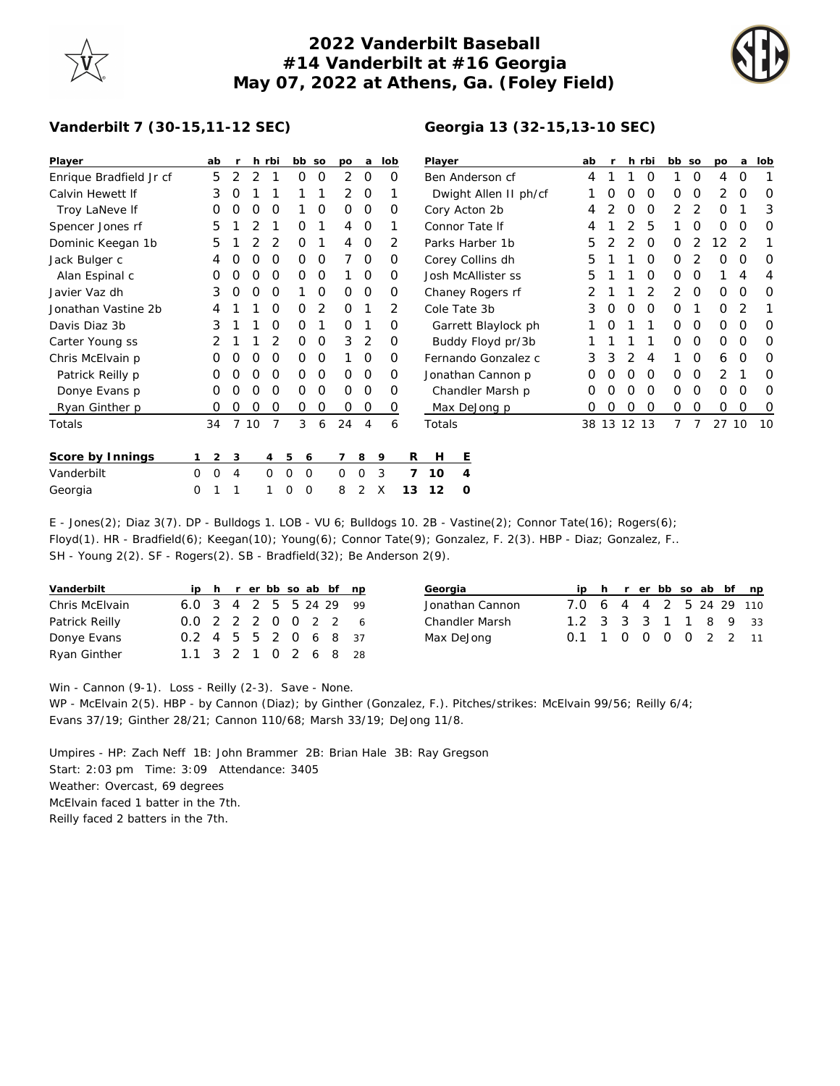## **2022 Vanderbilt Baseball #14 Vanderbilt at #16 Georgia May 07, 2022 at Athens, Ga. (Foley Field)**

**Georgia 13 (32-15,13-10 SEC)**



## **Vanderbilt 7 (30-15,11-12 SEC)**

| Player                  |   | ab               |                  | h        | rbi            | bb so  |   | po       | a              | lob |    | Player                |   |  |   | ab |    |          | h rbi    | bb so |   | po    | a        | lob      |
|-------------------------|---|------------------|------------------|----------|----------------|--------|---|----------|----------------|-----|----|-----------------------|---|--|---|----|----|----------|----------|-------|---|-------|----------|----------|
| Enrique Bradfield Jr cf |   | 5                | 2                |          |                | 0      | 0 | 2        | 0              | O   |    | Ben Anderson cf       |   |  |   | 4  |    |          | $\Omega$ |       | 0 | 4     | O        |          |
| Calvin Hewett If        |   | 3                |                  |          |                |        |   | 2        | 0              |     |    | Dwight Allen II ph/cf |   |  |   |    |    | O        | $\Omega$ | O     | 0 | 2     | O        | 0        |
| Troy LaNeve If          |   | O                | O                | O        | O              |        | 0 | $\Omega$ | 0              | 0   |    | Cory Acton 2b         | 4 |  | O | O  | 2  | 2        | O        |       | 3 |       |          |          |
| Spencer Jones rf        |   | 5                |                  |          |                | O      |   | 4        | 0              |     |    | Connor Tate If        | 4 |  |   | 5  |    | O        | 0        | O     | O |       |          |          |
| Dominic Keegan 1b       |   | 5                |                  |          | 2              | O      |   | 4        | $\Omega$       | 2   |    | Parks Harber 1b       |   |  |   |    |    | 2        | $\Omega$ | 0     | 2 | 12    |          |          |
| Jack Bulger c           |   | 4                |                  | Ω        | O              | 0      | 0 |          | 0              | 0   |    | Corey Collins dh      |   |  |   |    |    |          | $\Omega$ | 0     |   | O     | O        | 0        |
| Alan Espinal c          |   | O                | $\left($ )       | $\left($ | O              | Ο      | 0 |          | $\Omega$       | O   |    | Josh McAllister ss    |   |  |   |    |    |          | O        | O     | O |       | 4        | 4        |
| Javier Vaz dh           |   | 3                |                  |          | O              |        | 0 | $\Omega$ | $\Omega$       | Ο   |    | Chaney Rogers rf      |   |  |   |    |    |          |          |       | 0 | O     | $\Omega$ | $\Omega$ |
| Jonathan Vastine 2b     |   |                  |                  |          | Ω              | Ο      | 2 | $\Omega$ |                | 2   |    | Cole Tate 3b          |   |  |   | 3  |    | $\Omega$ | $\Omega$ | O     |   | O     | 2        |          |
| Davis Diaz 3b           |   | 3                |                  |          | 0              | O      |   | $\Omega$ |                | O   |    | Garrett Blaylock ph   |   |  |   |    | O  |          |          | 0     | 0 | 0     | O        | 0        |
| Carter Young ss         |   |                  |                  |          | 2              | O      | 0 | 3        | 2              | O   |    | Buddy Floyd pr/3b     |   |  |   |    |    |          |          | 0     | 0 | 0     | O        | $\Omega$ |
| Chris McElvain p        |   | O                | $\left( \right)$ | Ω        | O              | 0      | 0 |          | $\Omega$       | Ο   |    | Fernando Gonzalez c   |   |  |   |    | З  |          | 4        |       | O | 6     | $\Omega$ | O        |
| Patrick Reilly p        |   | $\left( \right)$ |                  |          | O              | Ο      | O | $\Omega$ | $\Omega$       | Ο   |    | Jonathan Cannon p     |   |  |   |    |    |          | $\Omega$ | O     | O | 2     |          | O        |
| Donye Evans p           |   | O                | O                | O        | O              | 0      | 0 | $\Omega$ | 0              | O   |    | Chandler Marsh p      |   |  |   |    | O  | O        | $\Omega$ | 0     | 0 | 0     | $\Omega$ | 0        |
| Ryan Ginther p          |   | O                | O                | O        | 0              | 0      | 0 | 0        | 0              | O   |    | Max DeJong p          |   |  |   | 0  |    | O        | 0        | 0     | 0 | 0     | O        | 0        |
| Totals                  |   | 34               | 7                | 10       | 7              | 3      | 6 | 24       | $\overline{4}$ | 6   |    | Totals                |   |  |   | 38 | 13 | 12 13    |          | 7     |   | 27 10 |          | 10       |
| Score by Innings        |   | 2                | 3                |          | $\overline{4}$ | 5<br>6 |   |          | 8              | 9   | R  | H                     | Ε |  |   |    |    |          |          |       |   |       |          |          |
| Vanderbilt              | 0 | 0                | 4                |          | $\mathbf 0$    | 0<br>0 |   | 0        | 0              | 3   |    | 10                    | 4 |  |   |    |    |          |          |       |   |       |          |          |
| Georgia                 | 0 |                  |                  |          |                | 0<br>0 |   | 8        | 2              | X   | 13 | 12                    | O |  |   |    |    |          |          |       |   |       |          |          |

E - Jones(2); Diaz 3(7). DP - Bulldogs 1. LOB - VU 6; Bulldogs 10. 2B - Vastine(2); Connor Tate(16); Rogers(6); Floyd(1). HR - Bradfield(6); Keegan(10); Young(6); Connor Tate(9); Gonzalez, F. 2(3). HBP - Diaz; Gonzalez, F.. SH - Young 2(2). SF - Rogers(2). SB - Bradfield(32); Be Anderson 2(9).

| Vanderbilt     |                        |  |  |  | ip h r er bb so ab bf np |
|----------------|------------------------|--|--|--|--------------------------|
| Chris McElvain | 6.0 3 4 2 5 5 24 29 99 |  |  |  |                          |
| Patrick Reilly | 0.0 2 2 2 0 0 2 2 6    |  |  |  |                          |
| Donye Evans    | 0.2 4 5 5 2 0 6 8 37   |  |  |  |                          |
| Ryan Ginther   | 1.1 3 2 1 0 2 6 8 28   |  |  |  |                          |

| Georgia         |                         |  |  |  | ip h r er bb so ab bf np |
|-----------------|-------------------------|--|--|--|--------------------------|
| Jonathan Cannon | 7.0 6 4 4 2 5 24 29 110 |  |  |  |                          |
| Chandler Marsh  | 1.2 3 3 3 1 1 8 9 33    |  |  |  |                          |
| Max DeJong      | 0.1 1 0 0 0 0 2 2 11    |  |  |  |                          |
|                 |                         |  |  |  |                          |

Win - Cannon (9-1). Loss - Reilly (2-3). Save - None.

WP - McElvain 2(5). HBP - by Cannon (Diaz); by Ginther (Gonzalez, F.). Pitches/strikes: McElvain 99/56; Reilly 6/4; Evans 37/19; Ginther 28/21; Cannon 110/68; Marsh 33/19; DeJong 11/8.

Umpires - HP: Zach Neff 1B: John Brammer 2B: Brian Hale 3B: Ray Gregson Start: 2:03 pm Time: 3:09 Attendance: 3405 Weather: Overcast, 69 degrees McElvain faced 1 batter in the 7th. Reilly faced 2 batters in the 7th.